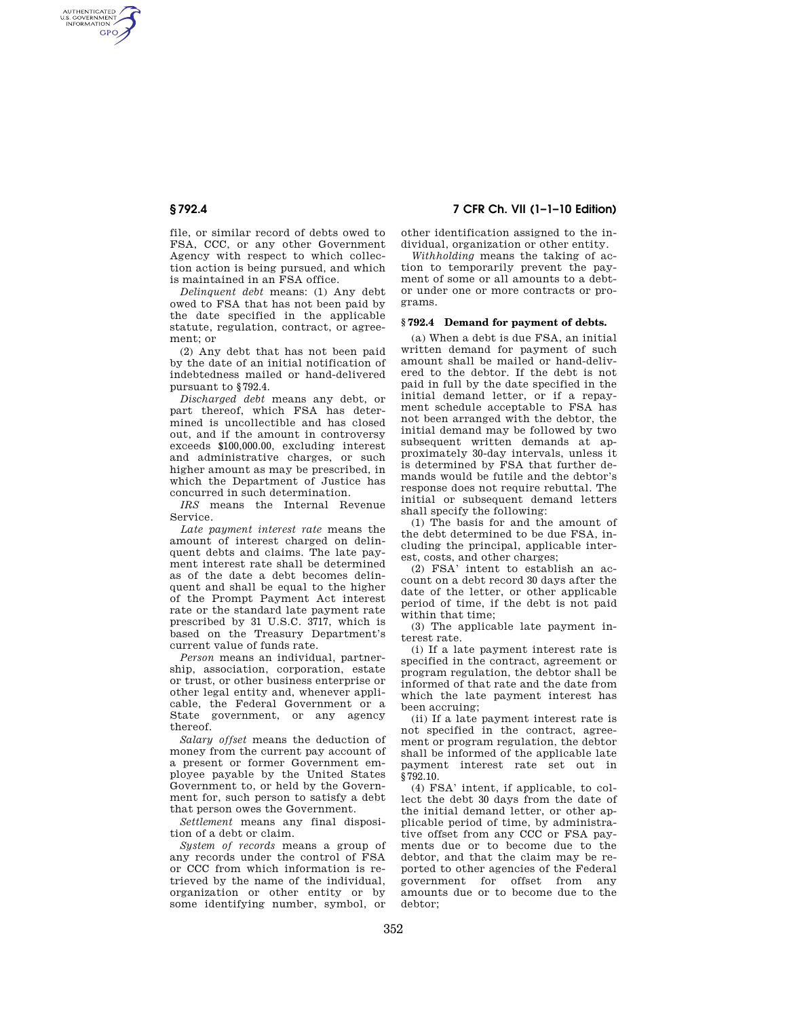AUTHENTICATED<br>U.S. GOVERNMENT<br>INFORMATION **GPO** 

> file, or similar record of debts owed to FSA, CCC, or any other Government Agency with respect to which collection action is being pursued, and which is maintained in an FSA office.

> *Delinquent debt* means: (1) Any debt owed to FSA that has not been paid by the date specified in the applicable statute, regulation, contract, or agreement; or

> (2) Any debt that has not been paid by the date of an initial notification of indebtedness mailed or hand-delivered pursuant to §792.4.

*Discharged debt* means any debt, or part thereof, which FSA has determined is uncollectible and has closed out, and if the amount in controversy exceeds \$100,000.00, excluding interest and administrative charges, or such higher amount as may be prescribed, in which the Department of Justice has concurred in such determination.

*IRS* means the Internal Revenue Service.

*Late payment interest rate* means the amount of interest charged on delinquent debts and claims. The late payment interest rate shall be determined as of the date a debt becomes delinquent and shall be equal to the higher of the Prompt Payment Act interest rate or the standard late payment rate prescribed by 31 U.S.C. 3717, which is based on the Treasury Department's current value of funds rate.

*Person* means an individual, partnership, association, corporation, estate or trust, or other business enterprise or other legal entity and, whenever applicable, the Federal Government or a State government, or any agency thereof.

*Salary offset* means the deduction of money from the current pay account of a present or former Government employee payable by the United States Government to, or held by the Government for, such person to satisfy a debt that person owes the Government.

*Settlement* means any final disposition of a debt or claim.

*System of records* means a group of any records under the control of FSA or CCC from which information is retrieved by the name of the individual, organization or other entity or by some identifying number, symbol, or

**§ 792.4 7 CFR Ch. VII (1–1–10 Edition)** 

other identification assigned to the individual, organization or other entity.

*Withholding* means the taking of action to temporarily prevent the payment of some or all amounts to a debtor under one or more contracts or programs.

### **§ 792.4 Demand for payment of debts.**

(a) When a debt is due FSA, an initial written demand for payment of such amount shall be mailed or hand-delivered to the debtor. If the debt is not paid in full by the date specified in the initial demand letter, or if a repayment schedule acceptable to FSA has not been arranged with the debtor, the initial demand may be followed by two subsequent written demands at approximately 30-day intervals, unless it is determined by FSA that further demands would be futile and the debtor's response does not require rebuttal. The initial or subsequent demand letters shall specify the following:

(1) The basis for and the amount of the debt determined to be due FSA, including the principal, applicable interest, costs, and other charges;

(2) FSA' intent to establish an account on a debt record 30 days after the date of the letter, or other applicable period of time, if the debt is not paid within that time;

(3) The applicable late payment interest rate.

(i) If a late payment interest rate is specified in the contract, agreement or program regulation, the debtor shall be informed of that rate and the date from which the late payment interest has been accruing;

(ii) If a late payment interest rate is not specified in the contract, agreement or program regulation, the debtor shall be informed of the applicable late payment interest rate set out in §792.10.

(4) FSA' intent, if applicable, to collect the debt 30 days from the date of the initial demand letter, or other applicable period of time, by administrative offset from any CCC or FSA payments due or to become due to the debtor, and that the claim may be reported to other agencies of the Federal government for offset from any amounts due or to become due to the debtor;